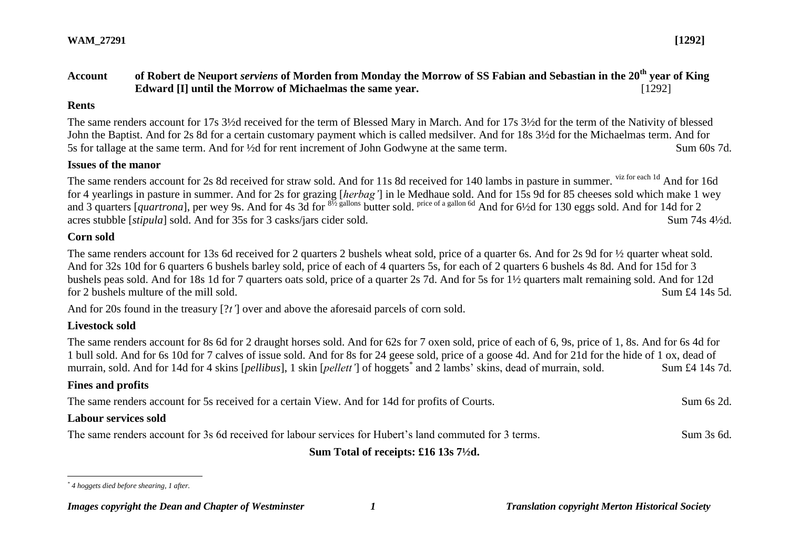## **Account of Robert de Neuport** *serviens* **of Morden from Monday the Morrow of SS Fabian and Sebastian in the 20th year of King Edward [I] until the Morrow of Michaelmas the same year.** [1292]

#### **Rents**

The same renders account for 17s 3½d received for the term of Blessed Mary in March. And for 17s 3½d for the term of the Nativity of blessed John the Baptist. And for 2s 8d for a certain customary payment which is called medsilver. And for 18s 3½d for the Michaelmas term. And for 5s for tallage at the same term. And for ½d for rent increment of John Godwyne at the same term. Sum 60s 7d.

#### **Issues of the manor**

The same renders account for 2s 8d received for straw sold. And for 11s 8d received for 140 lambs in pasture in summer. viz for each 1d And for 16d for 4 yearlings in pasture in summer. And for 2s for grazing [*herbag'*] in le Medhaue sold. And for 15s 9d for 85 cheeses sold which make 1 wey and 3 quarters [*quartrona*], per wey 9s. And for 4s 3d for <sup>81/2</sup> gallons butter sold. <sup>price of a gallon 6d</sup> And for 6<sup>1</sup>/2d for 130 eggs sold. And for 14d for 2 acres stubble [*stipula*] sold. And for 35s for 3 casks/jars cider sold. Sum 74s 4<sup>1</sup>/2d.

### **Corn sold**

The same renders account for 13s 6d received for 2 quarters 2 bushels wheat sold, price of a quarter 6s. And for 2s 9d for  $\frac{1}{2}$  quarter wheat sold. And for 32s 10d for 6 quarters 6 bushels barley sold, price of each of 4 quarters 5s, for each of 2 quarters 6 bushels 4s 8d. And for 15d for 3 bushels peas sold. And for 18s 1d for 7 quarters oats sold, price of a quarter 2s 7d. And for 5s for 1½ quarters malt remaining sold. And for 12d for 2 bushels multure of the mill sold. Sum £4 14s 5d.

And for 20s found in the treasury [?*t'*] over and above the aforesaid parcels of corn sold.

## **Livestock sold**

The same renders account for 8s 6d for 2 draught horses sold. And for 62s for 7 oxen sold, price of each of 6, 9s, price of 1, 8s. And for 6s 4d for 1 bull sold. And for 6s 10d for 7 calves of issue sold. And for 8s for 24 geese sold, price of a goose 4d. And for 21d for the hide of 1 ox, dead of murrain, sold. And for 14d for 4 skins [*pellibus*], 1 skin [*pellett'*] of hoggets<sup>\*</sup> and 2 lambs' skins, dead of murrain, sold. Sum £4 14s 7d.

## **Fines and profits**

The same renders account for 5s received for a certain View. And for 14d for profits of Courts. Sum 6s 2d. **Labour services sold** 

The same renders account for 3s 6d received for labour services for Hubert's land commuted for 3 terms. Sum 3s 6d.

**Sum Total of receipts: £16 13s 7½d.**

 $\overline{a}$ *\* 4 hoggets died before shearing, 1 after.*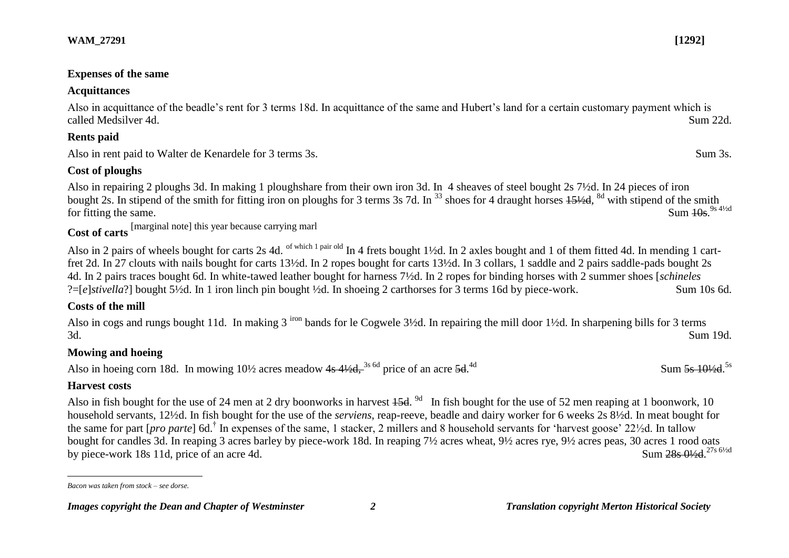#### **Expenses of the same**

## **Acquittances**

Also in acquittance of the beadle's rent for 3 terms 18d. In acquittance of the same and Hubert's land for a certain customary payment which is called Medsilver 4d. Sum 22d.

# **Rents paid**

Also in rent paid to Walter de Kenardele for 3 terms 3s. Sum 3s.

# **Cost of ploughs**

Also in repairing 2 ploughs 3d. In making 1 ploughshare from their own iron 3d. In 4 sheaves of steel bought 2s 7½d. In 24 pieces of iron bought 2s. In stipend of the smith for fitting iron on ploughs for 3 terms 3s 7d. In <sup>33</sup> shoes for 4 draught horses  $15\frac{1}{2}$ d, <sup>8d</sup> with stipend of the smith for fitting the same. Sum  $10s$ . Sum  $\frac{10s}{9}$ <sup>9s 41/2d</sup>

**Cost of carts** [marginal note] this year because carrying marl

Also in 2 pairs of wheels bought for carts 2s 4d. of which 1 pair old In 4 frets bought 1½d. In 2 axles bought and 1 of them fitted 4d. In mending 1 cartfret 2d. In 27 clouts with nails bought for carts 13½d. In 2 ropes bought for carts 13½d. In 3 collars, 1 saddle and 2 pairs saddle-pads bought 2s 4d. In 2 pairs traces bought 6d. In white-tawed leather bought for harness 7½d. In 2 ropes for binding horses with 2 summer shoes [*schineles* ?=[*e*]*stivella*?] bought 5½d. In 1 iron linch pin bought ½d. In shoeing 2 carthorses for 3 terms 16d by piece-work. Sum 10s 6d.

# **Costs of the mill**

Also in cogs and rungs bought 11d. In making 3 <sup>iron</sup> bands for le Cogwele 3½d. In repairing the mill door 1½d. In sharpening bills for 3 terms 3d. Sum 19d.

# **Mowing and hoeing**

Also in hoeing corn 18d. In mowing  $10\frac{1}{2}$  acres meadow  $4s\frac{41}{2}d$ ,  $3s\frac{6d}{2}$  price of an acre 5d.  $4d$ 

# **Harvest costs**

Also in fish bought for the use of 24 men at 2 dry boonworks in harvest  $45d$ . <sup>9d</sup> In fish bought for the use of 52 men reaping at 1 boonwork, 10 household servants, 12½d. In fish bought for the use of the *serviens*, reap-reeve, beadle and dairy worker for 6 weeks 2s 8½d. In meat bought for the same for part [*pro parte*] 6d.† In expenses of the same, 1 stacker, 2 millers and 8 household servants for 'harvest goose' 22½d. In tallow bought for candles 3d. In reaping 3 acres barley by piece-work 18d. In reaping 7½ acres wheat, 9½ acres rye, 9½ acres peas, 30 acres 1 rood oats by piece-work 18s 11d, price of an acre 4d. Sum 28s 01/2d.<sup>27s 61/2d</sup>

 $\frac{4d}{s}$  Sum  $\frac{5s}{s}$   $\frac{10\frac{1}{2}d}{s}$ .

 $\overline{a}$ *Bacon was taken from stock – see dorse.*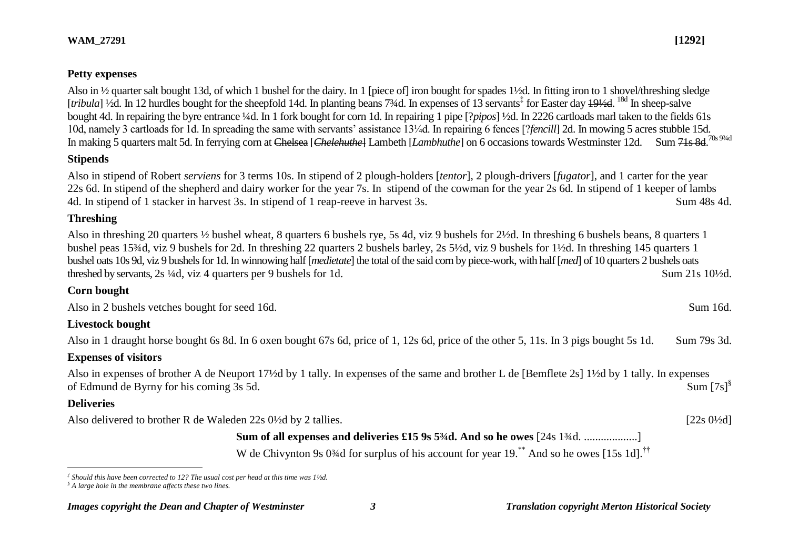#### **Petty expenses**

Also in ½ quarter salt bought 13d, of which 1 bushel for the dairy. In 1 [piece of] iron bought for spades 1½d. In fitting iron to 1 shovel/threshing sledge [tribula] 1/2d. In 12 hurdles bought for the sheepfold 14d. In planting beans 7<sup>3</sup>/4d. In expenses of 13 servants<sup>‡</sup> for Easter day 191/2d. <sup>18d</sup> In sheep-salve bought 4d. In repairing the byre entrance ¼d. In 1 fork bought for corn 1d. In repairing 1 pipe [?*pipos*] ½d. In 2226 cartloads marl taken to the fields 61s 10d, namely 3 cartloads for 1d. In spreading the same with servants' assistance 13¼d. In repairing 6 fences [?*fencill*] 2d. In mowing 5 acres stubble 15d. In making 5 quarters malt 5d. In ferrying corn at Chelsea [*Chelehuthe*] Lambeth [*Lambhuthe*] on 6 occasions towards Westminster 12d. Sum 71s 8d.<sup>70s 9¾d</sup>

#### **Stipends**

Also in stipend of Robert *serviens* for 3 terms 10s. In stipend of 2 plough-holders [*tentor*], 2 plough-drivers [*fugator*], and 1 carter for the year 22s 6d. In stipend of the shepherd and dairy worker for the year 7s. In stipend of the cowman for the year 2s 6d. In stipend of 1 keeper of lambs 4d. In stipend of 1 stacker in harvest 3s. In stipend of 1 reap-reeve in harvest 3s. Sum 48s 4d.

#### **Threshing**

Also in threshing 20 quarters ½ bushel wheat, 8 quarters 6 bushels rye, 5s 4d, viz 9 bushels for 2½d. In threshing 6 bushels beans, 8 quarters 1 bushel peas 15¾d, viz 9 bushels for 2d. In threshing 22 quarters 2 bushels barley, 2s 5½d, viz 9 bushels for 1½d. In threshing 145 quarters 1 bushel oats 10s 9d, viz 9 bushels for 1d. In winnowing half [*medietate*] the total of the said corn by piece-work, with half [*med*] of 10 quarters 2 bushels oats threshed by servants, 2s <sup>1</sup>/4d, viz 4 quarters per 9 bushels for 1d. Sum 21s 10<sup>1</sup>/2d.

#### **Corn bought**

Also in 2 bushels vetches bought for seed 16d. Sum 16d.

#### **Livestock bought**

Also in 1 draught horse bought 6s 8d. In 6 oxen bought 67s 6d, price of 1, 12s 6d, price of the other 5, 11s. In 3 pigs bought 5s 1d. Sum 79s 3d.

#### **Expenses of visitors**

Also in expenses of brother A de Neuport 17½d by 1 tally. In expenses of the same and brother L de [Bemflete 2s] 1½d by 1 tally. In expenses of Edmund de Byrny for his coming 3s 5d. Sum  $[7s]$ <sup>§</sup>

#### **Deliveries**

 $\overline{a}$ 

Also delivered to brother R de Waleden 22s 0<sup>1/2</sup>d by 2 tallies. [22s 0<sup>1/2</sup>d]

**Sum of all expenses and deliveries £15 9s 5¼d. And so he owes** [24s 1¼d. ...................]

W de Chivynton 9s 0<sup>3</sup>/4d for surplus of his account for year 19.<sup>\*\*</sup> And so he owes [15s 1d].<sup>††</sup>

*<sup>‡</sup> Should this have been corrected to 12? The usual cost per head at this time was 1½d.*

*<sup>§</sup> A large hole in the membrane affects these two lines.*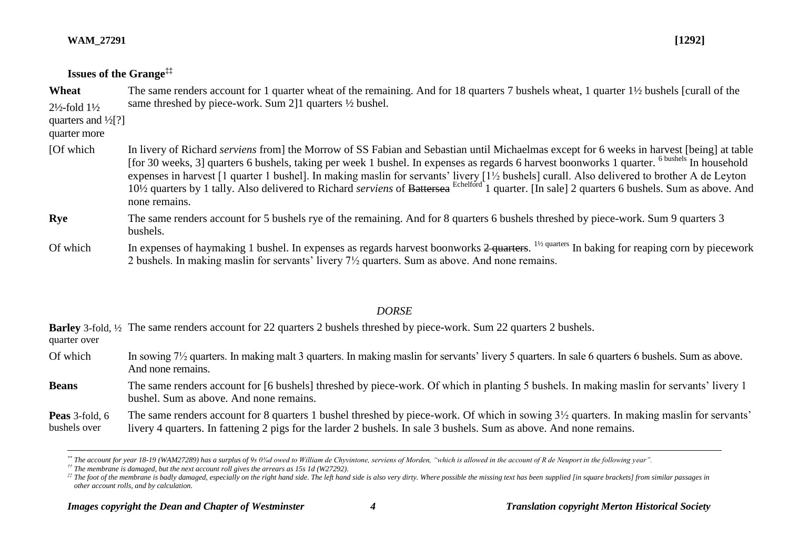$\overline{a}$ 

## **Issues of the Grange‡‡**

| Wheat                                                                                 | The same renders account for 1 quarter wheat of the remaining. And for 18 quarters 7 bushels wheat, 1 quarter 1½ bushels [curall of the<br>same threshed by piece-work. Sum 2.1 quarters 1/2 bushel.                                                                                                                                                                                                                                                                                                                                                                                                                                                    |
|---------------------------------------------------------------------------------------|---------------------------------------------------------------------------------------------------------------------------------------------------------------------------------------------------------------------------------------------------------------------------------------------------------------------------------------------------------------------------------------------------------------------------------------------------------------------------------------------------------------------------------------------------------------------------------------------------------------------------------------------------------|
| $2\frac{1}{2}$ -fold $1\frac{1}{2}$<br>quarters and $\frac{1}{2}$ [?]<br>quarter more |                                                                                                                                                                                                                                                                                                                                                                                                                                                                                                                                                                                                                                                         |
| [Of which]                                                                            | In livery of Richard <i>serviens</i> from the Morrow of SS Fabian and Sebastian until Michaelmas except for 6 weeks in harvest [being] at table<br>[for 30 weeks, 3] quarters 6 bushels, taking per week 1 bushel. In expenses as regards 6 harvest boonworks 1 quarter. <sup>6 bushels</sup> In household<br>expenses in harvest [1 quarter 1 bushel]. In making maslin for servants' livery [1½ bushels] curall. Also delivered to brother A de Leyton<br>10 <sup>1</sup> / <sub>2</sub> quarters by 1 tally. Also delivered to Richard serviens of Battersea Echelford 1 quarter. [In sale] 2 quarters 6 bushels. Sum as above. And<br>none remains. |
| <b>Rye</b>                                                                            | The same renders account for 5 bushels rye of the remaining. And for 8 quarters 6 bushels threshed by piece-work. Sum 9 quarters 3<br>bushels.                                                                                                                                                                                                                                                                                                                                                                                                                                                                                                          |
| Of which                                                                              | In expenses of haymaking 1 bushel. In expenses as regards harvest boonworks $2$ quarters. <sup>1/2 quarters</sup> In baking for reaping corn by piecework<br>2 bushels. In making maslin for servants' livery $7\frac{1}{2}$ quarters. Sum as above. And none remains.                                                                                                                                                                                                                                                                                                                                                                                  |

## *DORSE*

Barley 3-fold, 1/2 The same renders account for 22 quarters 2 bushels threshed by piece-work. Sum 22 quarters 2 bushels. quarter over

Of which In sowing 7<sup>1</sup>/<sub>2</sub> quarters. In making malt 3 quarters. In making maslin for servants' livery 5 quarters. In sale 6 quarters 6 bushels. Sum as above. And none remains.

**Beans** The same renders account for [6 bushels] threshed by piece-work. Of which in planting 5 bushels. In making maslin for servants' livery 1 bushel. Sum as above. And none remains.

**Peas** 3-fold, 6 bushels over The same renders account for 8 quarters 1 bushel threshed by piece-work. Of which in sowing 3½ quarters. In making maslin for servants' livery 4 quarters. In fattening 2 pigs for the larder 2 bushels. In sale 3 bushels. Sum as above. And none remains.

*<sup>\*\*</sup> The account for year 18-19 (WAM27289) has a surplus of 9s 0¾d owed to William de Chyvintone, serviens of Morden, "which is allowed in the account of R de Neuport in the following year".*

*<sup>††</sup> The membrane is damaged, but the next account roll gives the arrears as 15s 1d (W27292).*

 $\#$  The foot of the membrane is badly damaged, especially on the right hand side. The left hand side is also very dirty. Where possible the missing text has been supplied [in square brackets] from similar passages in *other account rolls, and by calculation.*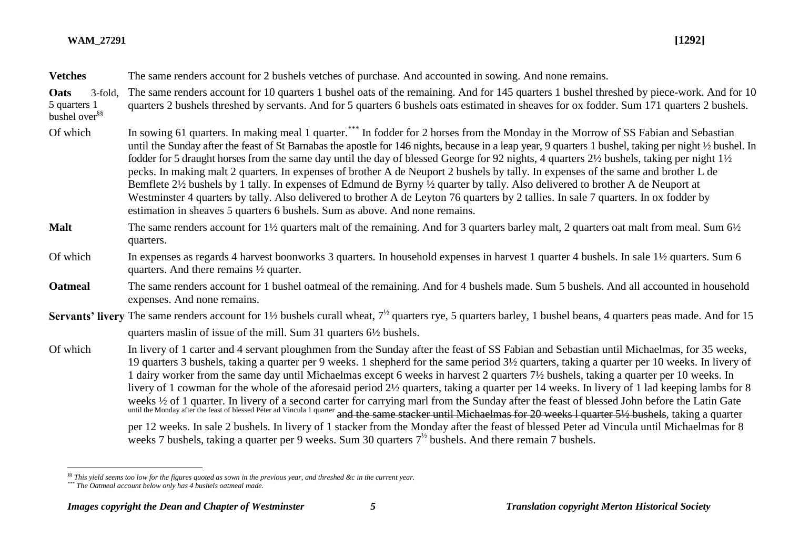| <b>Vetches</b>                                               | The same renders account for 2 bushels vetches of purchase. And accounted in sowing. And none remains.                                                                                                                                                                                                                                                                                                                                                                                                                                                                                                                                                                                                                                                                                                                                                                                                                                                                                                                                                                              |
|--------------------------------------------------------------|-------------------------------------------------------------------------------------------------------------------------------------------------------------------------------------------------------------------------------------------------------------------------------------------------------------------------------------------------------------------------------------------------------------------------------------------------------------------------------------------------------------------------------------------------------------------------------------------------------------------------------------------------------------------------------------------------------------------------------------------------------------------------------------------------------------------------------------------------------------------------------------------------------------------------------------------------------------------------------------------------------------------------------------------------------------------------------------|
| Oats<br>3-fold,<br>5 quarters 1<br>bushel over <sup>§§</sup> | The same renders account for 10 quarters 1 bushel oats of the remaining. And for 145 quarters 1 bushel threshed by piece-work. And for 10<br>quarters 2 bushels threshed by servants. And for 5 quarters 6 bushels oats estimated in sheaves for ox fodder. Sum 171 quarters 2 bushels.                                                                                                                                                                                                                                                                                                                                                                                                                                                                                                                                                                                                                                                                                                                                                                                             |
| Of which                                                     | In sowing 61 quarters. In making meal 1 quarter. *** In fodder for 2 horses from the Monday in the Morrow of SS Fabian and Sebastian<br>until the Sunday after the feast of St Barnabas the apostle for 146 nights, because in a leap year, 9 quarters 1 bushel, taking per night 1/2 bushel. In<br>fodder for 5 draught horses from the same day until the day of blessed George for 92 nights, 4 quarters 2½ bushels, taking per night 1½<br>pecks. In making malt 2 quarters. In expenses of brother A de Neuport 2 bushels by tally. In expenses of the same and brother L de<br>Bemflete 2½ bushels by 1 tally. In expenses of Edmund de Byrny ½ quarter by tally. Also delivered to brother A de Neuport at<br>Westminster 4 quarters by tally. Also delivered to brother A de Leyton 76 quarters by 2 tallies. In sale 7 quarters. In ox fodder by<br>estimation in sheaves 5 quarters 6 bushels. Sum as above. And none remains.                                                                                                                                            |
| <b>Malt</b>                                                  | The same renders account for 1 <sup>1</sup> / <sub>2</sub> quarters malt of the remaining. And for 3 quarters barley malt, 2 quarters oat malt from meal. Sum 6 <sup>1</sup> / <sub>2</sub><br>quarters.                                                                                                                                                                                                                                                                                                                                                                                                                                                                                                                                                                                                                                                                                                                                                                                                                                                                            |
| Of which                                                     | In expenses as regards 4 harvest boonworks 3 quarters. In household expenses in harvest 1 quarter 4 bushels. In sale 1½ quarters. Sum 6<br>quarters. And there remains $\frac{1}{2}$ quarter.                                                                                                                                                                                                                                                                                                                                                                                                                                                                                                                                                                                                                                                                                                                                                                                                                                                                                       |
| <b>Oatmeal</b>                                               | The same renders account for 1 bushel oatmeal of the remaining. And for 4 bushels made. Sum 5 bushels. And all accounted in household<br>expenses. And none remains.                                                                                                                                                                                                                                                                                                                                                                                                                                                                                                                                                                                                                                                                                                                                                                                                                                                                                                                |
|                                                              | <b>Servants' livery</b> The same renders account for 1 <sup>1</sup> / <sub>2</sub> bushels curall wheat, $7^{1/2}$ quarters rye, 5 quarters barley, 1 bushel beans, 4 quarters peas made. And for 15<br>quarters maslin of issue of the mill. Sum 31 quarters 6 <sup>1/2</sup> bushels.                                                                                                                                                                                                                                                                                                                                                                                                                                                                                                                                                                                                                                                                                                                                                                                             |
| Of which                                                     | In livery of 1 carter and 4 servant ploughmen from the Sunday after the feast of SS Fabian and Sebastian until Michaelmas, for 35 weeks,<br>19 quarters 3 bushels, taking a quarter per 9 weeks. 1 shepherd for the same period 3½ quarters, taking a quarter per 10 weeks. In livery of<br>1 dairy worker from the same day until Michaelmas except 6 weeks in harvest 2 quarters 7½ bushels, taking a quarter per 10 weeks. In<br>livery of 1 cowman for the whole of the aforesaid period 2½ quarters, taking a quarter per 14 weeks. In livery of 1 lad keeping lambs for 8<br>weeks 1/2 of 1 quarter. In livery of a second carter for carrying marl from the Sunday after the feast of blessed John before the Latin Gate<br>until the Monday after the feast of blessed Peter ad Vincula 1 quarter and the sa<br>per 12 weeks. In sale 2 bushels. In livery of 1 stacker from the Monday after the feast of blessed Peter ad Vincula until Michaelmas for 8<br>weeks 7 bushels, taking a quarter per 9 weeks. Sum 30 quarters $7^{1/2}$ bushels. And there remain 7 bushels. |

*<sup>§§</sup> This yield seems too low for the figures quoted as sown in the previous year, and threshed &c in the current year.*

 $\overline{a}$ 

*<sup>\*\*\*</sup> The Oatmeal account below only has 4 bushels oatmeal made.*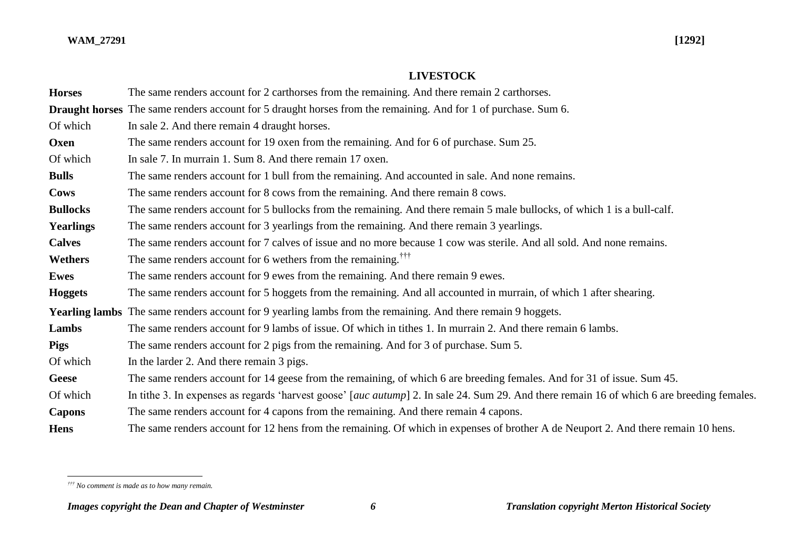## **LIVESTOCK**

| <b>Horses</b>    | The same renders account for 2 carthorses from the remaining. And there remain 2 carthorses.                                                |
|------------------|---------------------------------------------------------------------------------------------------------------------------------------------|
|                  | <b>Draught horses</b> The same renders account for 5 draught horses from the remaining. And for 1 of purchase. Sum 6.                       |
| Of which         | In sale 2. And there remain 4 draught horses.                                                                                               |
| Oxen             | The same renders account for 19 oxen from the remaining. And for 6 of purchase. Sum 25.                                                     |
| Of which         | In sale 7. In murrain 1, Sum 8, And there remain 17 oxen.                                                                                   |
| <b>Bulls</b>     | The same renders account for 1 bull from the remaining. And accounted in sale. And none remains.                                            |
| <b>Cows</b>      | The same renders account for 8 cows from the remaining. And there remain 8 cows.                                                            |
| <b>Bullocks</b>  | The same renders account for 5 bullocks from the remaining. And there remain 5 male bullocks, of which 1 is a bull-calf.                    |
| <b>Yearlings</b> | The same renders account for 3 yearlings from the remaining. And there remain 3 yearlings.                                                  |
| <b>Calves</b>    | The same renders account for 7 calves of issue and no more because 1 cow was sterile. And all sold. And none remains.                       |
| Wethers          | The same renders account for 6 wethers from the remaining. <sup>TTT</sup>                                                                   |
| <b>Ewes</b>      | The same renders account for 9 ewes from the remaining. And there remain 9 ewes.                                                            |
| <b>Hoggets</b>   | The same renders account for 5 hoggets from the remaining. And all accounted in murrain, of which 1 after shearing.                         |
|                  | Yearling lambs The same renders account for 9 yearling lambs from the remaining. And there remain 9 hoggets.                                |
| Lambs            | The same renders account for 9 lambs of issue. Of which in tithes 1. In murrain 2. And there remain 6 lambs.                                |
| <b>Pigs</b>      | The same renders account for 2 pigs from the remaining. And for 3 of purchase. Sum 5.                                                       |
| Of which         | In the larder 2. And there remain 3 pigs.                                                                                                   |
| Geese            | The same renders account for 14 geese from the remaining, of which 6 are breeding females. And for 31 of issue. Sum 45.                     |
| Of which         | In tithe 3. In expenses as regards 'harvest goose' [auc autump] 2. In sale 24. Sum 29. And there remain 16 of which 6 are breeding females. |
| <b>Capons</b>    | The same renders account for 4 capons from the remaining. And there remain 4 capons.                                                        |
| <b>Hens</b>      | The same renders account for 12 hens from the remaining. Of which in expenses of brother A de Neuport 2. And there remain 10 hens.          |

 $\overline{a}$ *††† No comment is made as to how many remain.*